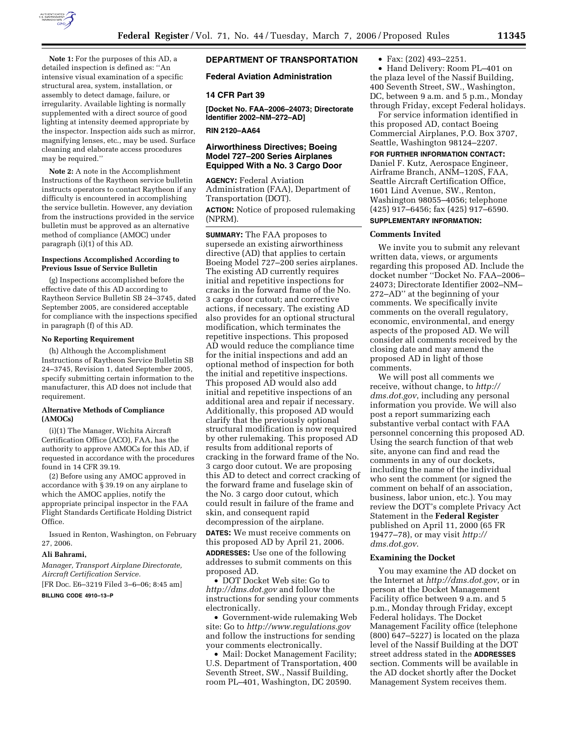

**Note 1:** For the purposes of this AD, a detailed inspection is defined as: ''An intensive visual examination of a specific structural area, system, installation, or assembly to detect damage, failure, or irregularity. Available lighting is normally supplemented with a direct source of good lighting at intensity deemed appropriate by the inspector. Inspection aids such as mirror, magnifying lenses, etc., may be used. Surface cleaning and elaborate access procedures may be required.''

**Note 2:** A note in the Accomplishment Instructions of the Raytheon service bulletin instructs operators to contact Raytheon if any difficulty is encountered in accomplishing the service bulletin. However, any deviation from the instructions provided in the service bulletin must be approved as an alternative method of compliance (AMOC) under paragraph (i)(1) of this AD.

## **Inspections Accomplished According to Previous Issue of Service Bulletin**

(g) Inspections accomplished before the effective date of this AD according to Raytheon Service Bulletin SB 24–3745, dated September 2005, are considered acceptable for compliance with the inspections specified in paragraph (f) of this AD.

# **No Reporting Requirement**

(h) Although the Accomplishment Instructions of Raytheon Service Bulletin SB 24–3745, Revision 1, dated September 2005, specify submitting certain information to the manufacturer, this AD does not include that requirement.

### **Alternative Methods of Compliance (AMOCs)**

(i)(1) The Manager, Wichita Aircraft Certification Office (ACO), FAA, has the authority to approve AMOCs for this AD, if requested in accordance with the procedures found in 14 CFR 39.19.

(2) Before using any AMOC approved in accordance with § 39.19 on any airplane to which the AMOC applies, notify the appropriate principal inspector in the FAA Flight Standards Certificate Holding District Office.

Issued in Renton, Washington, on February 27, 2006.

## **Ali Bahrami,**

*Manager, Transport Airplane Directorate, Aircraft Certification Service.* 

[FR Doc. E6–3219 Filed 3–6–06; 8:45 am]

# **BILLING CODE 4910–13–P**

# **DEPARTMENT OF TRANSPORTATION**

## **Federal Aviation Administration**

### **14 CFR Part 39**

**[Docket No. FAA–2006–24073; Directorate Identifier 2002–NM–272–AD]** 

**RIN 2120–AA64** 

# **Airworthiness Directives; Boeing Model 727–200 Series Airplanes Equipped With a No. 3 Cargo Door**

**AGENCY:** Federal Aviation Administration (FAA), Department of Transportation (DOT).

**ACTION:** Notice of proposed rulemaking (NPRM).

**SUMMARY:** The FAA proposes to supersede an existing airworthiness directive (AD) that applies to certain Boeing Model 727–200 series airplanes. The existing AD currently requires initial and repetitive inspections for cracks in the forward frame of the No. 3 cargo door cutout; and corrective actions, if necessary. The existing AD also provides for an optional structural modification, which terminates the repetitive inspections. This proposed AD would reduce the compliance time for the initial inspections and add an optional method of inspection for both the initial and repetitive inspections. This proposed AD would also add initial and repetitive inspections of an additional area and repair if necessary. Additionally, this proposed AD would clarify that the previously optional structural modification is now required by other rulemaking. This proposed AD results from additional reports of cracking in the forward frame of the No. 3 cargo door cutout. We are proposing this AD to detect and correct cracking of the forward frame and fuselage skin of the No. 3 cargo door cutout, which could result in failure of the frame and skin, and consequent rapid decompression of the airplane.

**DATES:** We must receive comments on this proposed AD by April 21, 2006. **ADDRESSES:** Use one of the following addresses to submit comments on this proposed AD.

• DOT Docket Web site: Go to *http://dms.dot.gov* and follow the instructions for sending your comments electronically.

• Government-wide rulemaking Web site: Go to *http://www.regulations.gov*  and follow the instructions for sending your comments electronically.

• Mail: Docket Management Facility; U.S. Department of Transportation, 400 Seventh Street, SW., Nassif Building, room PL–401, Washington, DC 20590.

• Fax: (202) 493–2251.

• Hand Delivery: Room PL–401 on the plaza level of the Nassif Building, 400 Seventh Street, SW., Washington, DC, between 9 a.m. and 5 p.m., Monday through Friday, except Federal holidays.

For service information identified in this proposed AD, contact Boeing Commercial Airplanes, P.O. Box 3707, Seattle, Washington 98124–2207.

# **FOR FURTHER INFORMATION CONTACT:**

Daniel F. Kutz, Aerospace Engineer, Airframe Branch, ANM–120S, FAA, Seattle Aircraft Certification Office, 1601 Lind Avenue, SW., Renton, Washington 98055–4056; telephone (425) 917–6456; fax (425) 917–6590.

# **SUPPLEMENTARY INFORMATION:**

## **Comments Invited**

We invite you to submit any relevant written data, views, or arguments regarding this proposed AD. Include the docket number ''Docket No. FAA–2006– 24073; Directorate Identifier 2002–NM– 272–AD'' at the beginning of your comments. We specifically invite comments on the overall regulatory, economic, environmental, and energy aspects of the proposed AD. We will consider all comments received by the closing date and may amend the proposed AD in light of those comments.

We will post all comments we receive, without change, to *http:// dms.dot.gov*, including any personal information you provide. We will also post a report summarizing each substantive verbal contact with FAA personnel concerning this proposed AD. Using the search function of that web site, anyone can find and read the comments in any of our dockets, including the name of the individual who sent the comment (or signed the comment on behalf of an association, business, labor union, etc.). You may review the DOT's complete Privacy Act Statement in the **Federal Register**  published on April 11, 2000 (65 FR 19477–78), or may visit *http:// dms.dot.gov*.

## **Examining the Docket**

You may examine the AD docket on the Internet at *http://dms.dot.gov*, or in person at the Docket Management Facility office between 9 a.m. and 5 p.m., Monday through Friday, except Federal holidays. The Docket Management Facility office (telephone  $(800)$   $647-5227$ ) is located on the plaza level of the Nassif Building at the DOT street address stated in the **ADDRESSES** section. Comments will be available in the AD docket shortly after the Docket Management System receives them.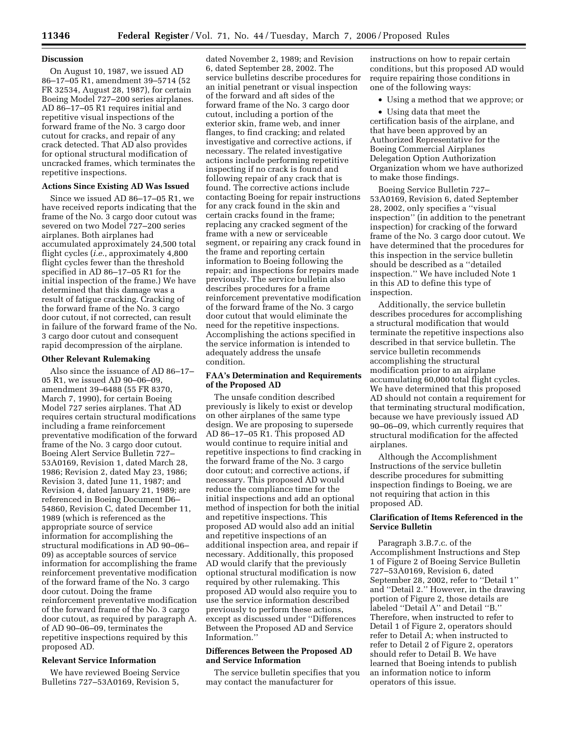## **Discussion**

On August 10, 1987, we issued AD 86–17–05 R1, amendment 39–5714 (52 FR 32534, August 28, 1987), for certain Boeing Model 727–200 series airplanes. AD 86–17–05 R1 requires initial and repetitive visual inspections of the forward frame of the No. 3 cargo door cutout for cracks, and repair of any crack detected. That AD also provides for optional structural modification of uncracked frames, which terminates the repetitive inspections.

# **Actions Since Existing AD Was Issued**

Since we issued AD 86–17–05 R1, we have received reports indicating that the frame of the No. 3 cargo door cutout was severed on two Model 727–200 series airplanes. Both airplanes had accumulated approximately 24,500 total flight cycles (*i.e.*, approximately 4,800 flight cycles fewer than the threshold specified in AD 86–17–05 R1 for the initial inspection of the frame.) We have determined that this damage was a result of fatigue cracking. Cracking of the forward frame of the No. 3 cargo door cutout, if not corrected, can result in failure of the forward frame of the No. 3 cargo door cutout and consequent rapid decompression of the airplane.

### **Other Relevant Rulemaking**

Also since the issuance of AD 86–17– 05 R1, we issued AD 90–06–09, amendment 39–6488 (55 FR 8370, March 7, 1990), for certain Boeing Model 727 series airplanes. That AD requires certain structural modifications including a frame reinforcement preventative modification of the forward frame of the No. 3 cargo door cutout. Boeing Alert Service Bulletin 727– 53A0169, Revision 1, dated March 28, 1986; Revision 2, dated May 23, 1986; Revision 3, dated June 11, 1987; and Revision 4, dated January 21, 1989; are referenced in Boeing Document D6– 54860, Revision C, dated December 11, 1989 (which is referenced as the appropriate source of service information for accomplishing the structural modifications in AD 90–06– 09) as acceptable sources of service information for accomplishing the frame reinforcement preventative modification of the forward frame of the No. 3 cargo door cutout. Doing the frame reinforcement preventative modification of the forward frame of the No. 3 cargo door cutout, as required by paragraph A. of AD 90–06–09, terminates the repetitive inspections required by this proposed AD.

## **Relevant Service Information**

We have reviewed Boeing Service Bulletins 727–53A0169, Revision 5,

dated November 2, 1989; and Revision 6, dated September 28, 2002. The service bulletins describe procedures for an initial penetrant or visual inspection of the forward and aft sides of the forward frame of the No. 3 cargo door cutout, including a portion of the exterior skin, frame web, and inner flanges, to find cracking; and related investigative and corrective actions, if necessary. The related investigative actions include performing repetitive inspecting if no crack is found and following repair of any crack that is found. The corrective actions include contacting Boeing for repair instructions for any crack found in the skin and certain cracks found in the frame; replacing any cracked segment of the frame with a new or serviceable segment, or repairing any crack found in the frame and reporting certain information to Boeing following the repair; and inspections for repairs made previously. The service bulletin also describes procedures for a frame reinforcement preventative modification of the forward frame of the No. 3 cargo door cutout that would eliminate the need for the repetitive inspections. Accomplishing the actions specified in the service information is intended to adequately address the unsafe condition.

# **FAA's Determination and Requirements of the Proposed AD**

The unsafe condition described previously is likely to exist or develop on other airplanes of the same type design. We are proposing to supersede AD 86–17–05 R1. This proposed AD would continue to require initial and repetitive inspections to find cracking in the forward frame of the No. 3 cargo door cutout; and corrective actions, if necessary. This proposed AD would reduce the compliance time for the initial inspections and add an optional method of inspection for both the initial and repetitive inspections. This proposed AD would also add an initial and repetitive inspections of an additional inspection area, and repair if necessary. Additionally, this proposed AD would clarify that the previously optional structural modification is now required by other rulemaking. This proposed AD would also require you to use the service information described previously to perform these actions, except as discussed under ''Differences Between the Proposed AD and Service Information.''

# **Differences Between the Proposed AD and Service Information**

The service bulletin specifies that you may contact the manufacturer for

instructions on how to repair certain conditions, but this proposed AD would require repairing those conditions in one of the following ways:

• Using a method that we approve; or

• Using data that meet the certification basis of the airplane, and that have been approved by an Authorized Representative for the Boeing Commercial Airplanes Delegation Option Authorization Organization whom we have authorized to make those findings.

Boeing Service Bulletin 727– 53A0169, Revision 6, dated September 28, 2002, only specifies a ''visual inspection'' (in addition to the penetrant inspection) for cracking of the forward frame of the No. 3 cargo door cutout. We have determined that the procedures for this inspection in the service bulletin should be described as a ''detailed inspection.'' We have included Note 1 in this AD to define this type of inspection.

Additionally, the service bulletin describes procedures for accomplishing a structural modification that would terminate the repetitive inspections also described in that service bulletin. The service bulletin recommends accomplishing the structural modification prior to an airplane accumulating 60,000 total flight cycles. We have determined that this proposed AD should not contain a requirement for that terminating structural modification, because we have previously issued AD 90–06–09, which currently requires that structural modification for the affected airplanes.

Although the Accomplishment Instructions of the service bulletin describe procedures for submitting inspection findings to Boeing, we are not requiring that action in this proposed AD.

## **Clarification of Items Referenced in the Service Bulletin**

Paragraph 3.B.7.c. of the Accomplishment Instructions and Step 1 of Figure 2 of Boeing Service Bulletin 727–53A0169, Revision 6, dated September 28, 2002, refer to ''Detail 1'' and ''Detail 2.'' However, in the drawing portion of Figure 2, those details are labeled ''Detail A'' and Detail ''B.'' Therefore, when instructed to refer to Detail 1 of Figure 2, operators should refer to Detail A; when instructed to refer to Detail 2 of Figure 2, operators should refer to Detail B. We have learned that Boeing intends to publish an information notice to inform operators of this issue.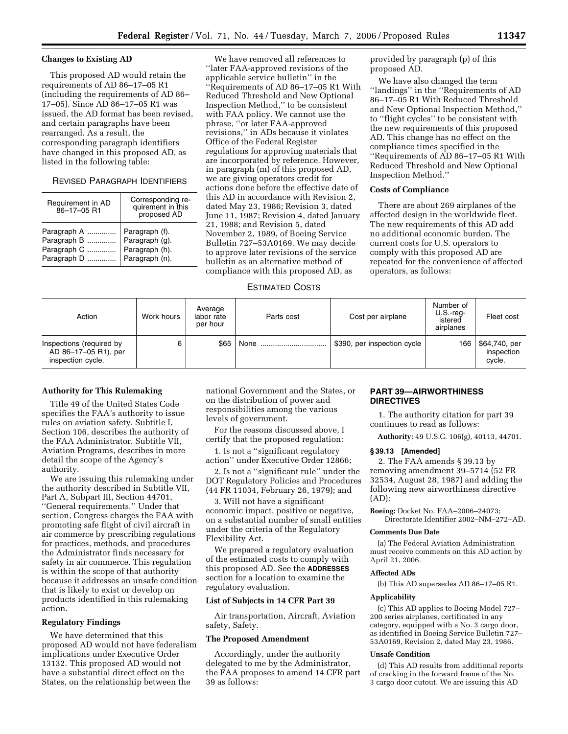## **Changes to Existing AD**

This proposed AD would retain the requirements of AD 86–17–05 R1 (including the requirements of AD 86– 17–05). Since AD 86–17–05 R1 was issued, the AD format has been revised, and certain paragraphs have been rearranged. As a result, the corresponding paragraph identifiers have changed in this proposed AD, as listed in the following table:

# REVISED PARAGRAPH IDENTIFIERS

| Requirement in AD<br>86-17-05 R1 | Corresponding re-<br>quirement in this<br>proposed AD |
|----------------------------------|-------------------------------------------------------|
| Paragraph A                      | Paragraph (f).                                        |
| Paragraph B                      | Paragraph (g).                                        |
| Paragraph C                      | Paragraph (h).                                        |
| Paragraph D                      | Paragraph (n).                                        |

We have removed all references to ''later FAA-approved revisions of the applicable service bulletin'' in the ''Requirements of AD 86–17–05 R1 With Reduced Threshold and New Optional Inspection Method,'' to be consistent with FAA policy. We cannot use the phrase, ''or later FAA-approved revisions,'' in ADs because it violates Office of the Federal Register regulations for approving materials that are incorporated by reference. However, in paragraph (m) of this proposed AD, we are giving operators credit for actions done before the effective date of this AD in accordance with Revision 2, dated May 23, 1986; Revision 3, dated June 11, 1987; Revision 4, dated January 21, 1988; and Revision 5, dated November 2, 1989, of Boeing Service Bulletin 727–53A0169. We may decide to approve later revisions of the service bulletin as an alternative method of compliance with this proposed AD, as

provided by paragraph (p) of this proposed AD.

We have also changed the term ''landings'' in the ''Requirements of AD 86–17–05 R1 With Reduced Threshold and New Optional Inspection Method,'' to ''flight cycles'' to be consistent with the new requirements of this proposed AD. This change has no effect on the compliance times specified in the ''Requirements of AD 86–17–05 R1 With Reduced Threshold and New Optional Inspection Method.''

### **Costs of Compliance**

There are about 269 airplanes of the affected design in the worldwide fleet. The new requirements of this AD add no additional economic burden. The current costs for U.S. operators to comply with this proposed AD are repeated for the convenience of affected operators, as follows:

## ESTIMATED COSTS

| Action                                                                | Work hours | Average<br>labor rate<br>per hour | Parts cost | Cost per airplane           | Number of<br>$U.S.$ -reg-<br>istered<br>airplanes | Fleet cost                            |
|-----------------------------------------------------------------------|------------|-----------------------------------|------------|-----------------------------|---------------------------------------------------|---------------------------------------|
| Inspections (required by<br>AD 86-17-05 R1), per<br>inspection cycle. | 6          | \$65                              | None       | \$390, per inspection cycle | 166                                               | \$64,740, per<br>inspection<br>cycle. |

## **Authority for This Rulemaking**

Title 49 of the United States Code specifies the FAA's authority to issue rules on aviation safety. Subtitle I, Section 106, describes the authority of the FAA Administrator. Subtitle VII, Aviation Programs, describes in more detail the scope of the Agency's authority.

We are issuing this rulemaking under the authority described in Subtitle VII, Part A, Subpart III, Section 44701, ''General requirements.'' Under that section, Congress charges the FAA with promoting safe flight of civil aircraft in air commerce by prescribing regulations for practices, methods, and procedures the Administrator finds necessary for safety in air commerce. This regulation is within the scope of that authority because it addresses an unsafe condition that is likely to exist or develop on products identified in this rulemaking action.

# **Regulatory Findings**

We have determined that this proposed AD would not have federalism implications under Executive Order 13132. This proposed AD would not have a substantial direct effect on the States, on the relationship between the

national Government and the States, or on the distribution of power and responsibilities among the various levels of government.

For the reasons discussed above, I certify that the proposed regulation:

1. Is not a ''significant regulatory action'' under Executive Order 12866;

2. Is not a ''significant rule'' under the DOT Regulatory Policies and Procedures (44 FR 11034, February 26, 1979); and

3. Will not have a significant economic impact, positive or negative, on a substantial number of small entities under the criteria of the Regulatory Flexibility Act.

We prepared a regulatory evaluation of the estimated costs to comply with this proposed AD. See the **ADDRESSES** section for a location to examine the regulatory evaluation.

## **List of Subjects in 14 CFR Part 39**

Air transportation, Aircraft, Aviation safety, Safety.

#### **The Proposed Amendment**

Accordingly, under the authority delegated to me by the Administrator, the FAA proposes to amend 14 CFR part 39 as follows:

# **PART 39—AIRWORTHINESS DIRECTIVES**

1. The authority citation for part 39 continues to read as follows:

**Authority:** 49 U.S.C. 106(g), 40113, 44701.

### **§ 39.13 [Amended]**

2. The FAA amends § 39.13 by removing amendment 39–5714 (52 FR 32534, August 28, 1987) and adding the following new airworthiness directive (AD):

**Boeing:** Docket No. FAA–2006–24073; Directorate Identifier 2002–NM–272–AD.

#### **Comments Due Date**

(a) The Federal Aviation Administration must receive comments on this AD action by April 21, 2006.

## **Affected ADs**

(b) This AD supersedes AD 86–17–05 R1.

### **Applicability**

(c) This AD applies to Boeing Model 727– 200 series airplanes, certificated in any category, equipped with a No. 3 cargo door, as identified in Boeing Service Bulletin 727– 53A0169, Revision 2, dated May 23, 1986.

### **Unsafe Condition**

(d) This AD results from additional reports of cracking in the forward frame of the No. 3 cargo door cutout. We are issuing this AD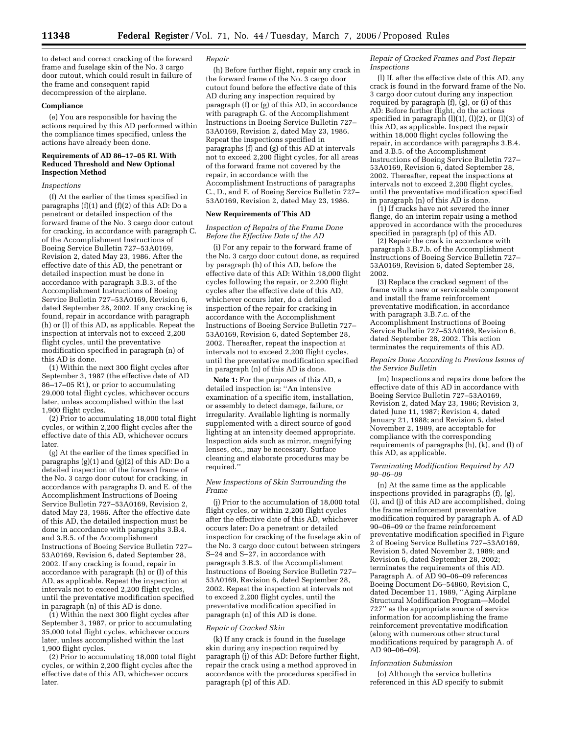to detect and correct cracking of the forward frame and fuselage skin of the No. 3 cargo door cutout, which could result in failure of the frame and consequent rapid decompression of the airplane.

#### **Compliance**

(e) You are responsible for having the actions required by this AD performed within the compliance times specified, unless the actions have already been done.

### **Requirements of AD 86–17–05 RL With Reduced Threshold and New Optional Inspection Method**

#### *Inspections*

(f) At the earlier of the times specified in paragraphs (f)(1) and (f)(2) of this AD: Do a penetrant or detailed inspection of the forward frame of the No. 3 cargo door cutout for cracking, in accordance with paragraph C. of the Accomplishment Instructions of Boeing Service Bulletin 727–53A0169, Revision 2, dated May 23, 1986. After the effective date of this AD, the penetrant or detailed inspection must be done in accordance with paragraph 3.B.3. of the Accomplishment Instructions of Boeing Service Bulletin 727–53A0169, Revision 6, dated September 28, 2002. If any cracking is found, repair in accordance with paragraph (h) or (l) of this AD, as applicable. Repeat the inspection at intervals not to exceed 2,200 flight cycles, until the preventative modification specified in paragraph (n) of this AD is done.

(1) Within the next 300 flight cycles after September 3, 1987 (the effective date of AD 86–17–05 R1), or prior to accumulating 29,000 total flight cycles, whichever occurs later, unless accomplished within the last 1,900 flight cycles.

(2) Prior to accumulating 18,000 total flight cycles, or within 2,200 flight cycles after the effective date of this AD, whichever occurs later.

(g) At the earlier of the times specified in paragraphs (g)(1) and (g)(2) of this AD: Do a detailed inspection of the forward frame of the No. 3 cargo door cutout for cracking, in accordance with paragraphs D. and E. of the Accomplishment Instructions of Boeing Service Bulletin 727–53A0169, Revision 2, dated May 23, 1986. After the effective date of this AD, the detailed inspection must be done in accordance with paragraphs 3.B.4. and 3.B.5. of the Accomplishment Instructions of Boeing Service Bulletin 727– 53A0169, Revision 6, dated September 28, 2002. If any cracking is found, repair in accordance with paragraph (h) or (l) of this AD, as applicable. Repeat the inspection at intervals not to exceed 2,200 flight cycles, until the preventative modification specified in paragraph (n) of this AD is done.

(1) Within the next 300 flight cycles after September 3, 1987, or prior to accumulating 35,000 total flight cycles, whichever occurs later, unless accomplished within the last 1,900 flight cycles.

(2) Prior to accumulating 18,000 total flight cycles, or within 2,200 flight cycles after the effective date of this AD, whichever occurs later.

#### *Repair*

(h) Before further flight, repair any crack in the forward frame of the No. 3 cargo door cutout found before the effective date of this AD during any inspection required by paragraph (f) or (g) of this AD, in accordance with paragraph G. of the Accomplishment Instructions in Boeing Service Bulletin 727– 53A0169, Revision 2, dated May 23, 1986. Repeat the inspections specified in paragraphs (f) and (g) of this AD at intervals not to exceed 2,200 flight cycles, for all areas of the forward frame not covered by the repair, in accordance with the Accomplishment Instructions of paragraphs C., D., and E. of Boeing Service Bulletin 727– 53A0169, Revision 2, dated May 23, 1986.

#### **New Requirements of This AD**

## *Inspection of Repairs of the Frame Done Before the Effective Date of the AD*

(i) For any repair to the forward frame of the No. 3 cargo door cutout done, as required by paragraph (h) of this AD, before the effective date of this AD: Within 18,000 flight cycles following the repair, or 2,200 flight cycles after the effective date of this AD, whichever occurs later, do a detailed inspection of the repair for cracking in accordance with the Accomplishment Instructions of Boeing Service Bulletin 727– 53A0169, Revision 6, dated September 28, 2002. Thereafter, repeat the inspection at intervals not to exceed 2,200 flight cycles, until the preventative modification specified in paragraph (n) of this AD is done.

**Note 1:** For the purposes of this AD, a detailed inspection is: ''An intensive examination of a specific item, installation, or assembly to detect damage, failure, or irregularity. Available lighting is normally supplemented with a direct source of good lighting at an intensity deemed appropriate. Inspection aids such as mirror, magnifying lenses, etc., may be necessary. Surface cleaning and elaborate procedures may be required.''

## *New Inspections of Skin Surrounding the Frame*

(j) Prior to the accumulation of 18,000 total flight cycles, or within 2,200 flight cycles after the effective date of this AD, whichever occurs later: Do a penetrant or detailed inspection for cracking of the fuselage skin of the No. 3 cargo door cutout between stringers S–24 and S–27, in accordance with paragraph 3.B.3. of the Accomplishment Instructions of Boeing Service Bulletin 727– 53A0169, Revision 6, dated September 28, 2002. Repeat the inspection at intervals not to exceed 2,200 flight cycles, until the preventative modification specified in paragraph (n) of this AD is done.

### *Repair of Cracked Skin*

(k) If any crack is found in the fuselage skin during any inspection required by paragraph (j) of this AD: Before further flight, repair the crack using a method approved in accordance with the procedures specified in paragraph (p) of this AD.

*Repair of Cracked Frames and Post-Repair Inspections* 

(l) If, after the effective date of this AD, any crack is found in the forward frame of the No. 3 cargo door cutout during any inspection required by paragraph  $(f)$ ,  $(g)$ , or  $(i)$  of this AD: Before further flight, do the actions specified in paragraph  $(l)(1)$ ,  $(l)(2)$ , or  $(l)(3)$  of this AD, as applicable. Inspect the repair within 18,000 flight cycles following the repair, in accordance with paragraphs 3.B.4. and 3.B.5. of the Accomplishment Instructions of Boeing Service Bulletin 727– 53A0169, Revision 6, dated September 28, 2002. Thereafter, repeat the inspections at intervals not to exceed 2,200 flight cycles, until the preventative modification specified in paragraph (n) of this AD is done.

(1) If cracks have not severed the inner flange, do an interim repair using a method approved in accordance with the procedures specified in paragraph (p) of this AD.

(2) Repair the crack in accordance with paragraph 3.B.7.b. of the Accomplishment Instructions of Boeing Service Bulletin 727– 53A0169, Revision 6, dated September 28, 2002.

(3) Replace the cracked segment of the frame with a new or serviceable component and install the frame reinforcement preventative modification, in accordance with paragraph 3.B.7.c. of the Accomplishment Instructions of Boeing Service Bulletin 727–53A0169, Revision 6, dated September 28, 2002. This action terminates the requirements of this AD.

#### *Repairs Done According to Previous Issues of the Service Bulletin*

(m) Inspections and repairs done before the effective date of this AD in accordance with Boeing Service Bulletin 727–53A0169, Revision 2, dated May 23, 1986; Revision 3, dated June 11, 1987; Revision 4, dated January 21, 1988; and Revision 5, dated November 2, 1989, are acceptable for compliance with the corresponding requirements of paragraphs (h), (k), and (l) of this AD, as applicable.

### *Terminating Modification Required by AD 90–06–09*

(n) At the same time as the applicable inspections provided in paragraphs (f), (g) (i), and (j) of this AD are accomplished, doing the frame reinforcement preventative modification required by paragraph A. of AD 90–06–09 or the frame reinforcement preventative modification specified in Figure 2 of Boeing Service Bulletins 727–53A0169, Revision 5, dated November 2, 1989; and Revision 6, dated September 28, 2002; terminates the requirements of this AD. Paragraph A. of AD 90–06–09 references Boeing Document D6–54860, Revision C, dated December 11, 1989, ''Aging Airplane Structural Modification Program—Model 727'' as the appropriate source of service information for accomplishing the frame reinforcement preventative modification (along with numerous other structural modifications required by paragraph A. of AD 90–06–09).

#### *Information Submission*

(o) Although the service bulletins referenced in this AD specify to submit